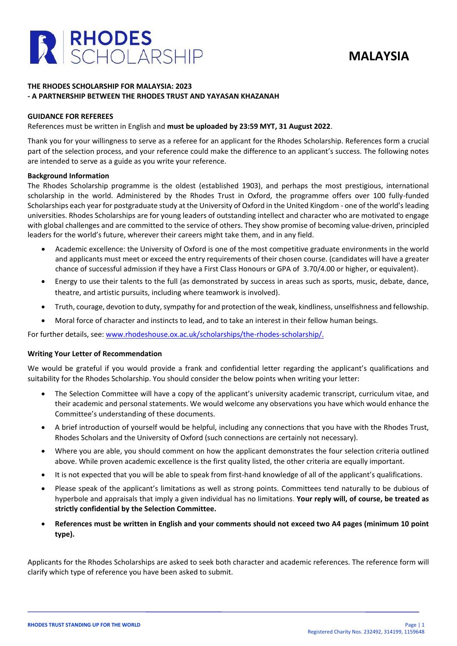



# **THE RHODES SCHOLARSHIP FOR MALAYSIA: 2023 - A PARTNERSHIP BETWEEN THE RHODES TRUST AND YAYASAN KHAZANAH**

## **GUIDANCE FOR REFEREES**

#### References must be written in English and **must be uploaded by 23:59 MYT, 31 August 2022**.

Thank you for your willingness to serve as a referee for an applicant for the Rhodes Scholarship. References form a crucial part of the selection process, and your reference could make the difference to an applicant's success. The following notes are intended to serve as a guide as you write your reference.

#### **Background Information**

The Rhodes Scholarship programme is the oldest (established 1903), and perhaps the most prestigious, international scholarship in the world. Administered by the Rhodes Trust in Oxford, the programme offers over 100 fully-funded Scholarships each year for postgraduate study at the University of Oxford in the United Kingdom - one of the world's leading universities. Rhodes Scholarships are for young leaders of outstanding intellect and character who are motivated to engage with global challenges and are committed to the service of others. They show promise of becoming value-driven, principled leaders for the world's future, wherever their careers might take them, and in any field.

- Academic excellence: the University of Oxford is one of the most competitive graduate environments in the world and applicants must meet or exceed the entry requirements of their chosen course. (candidates will have a greater chance of successful admission if they have a First Class Honours or GPA of 3.70/4.00 or higher, or equivalent).
- Energy to use their talents to the full (as demonstrated by success in areas such as sports, music, debate, dance, theatre, and artistic pursuits, including where teamwork is involved).
- Truth, courage, devotion to duty, sympathy for and protection of the weak, kindliness, unselfishness and fellowship.
- Moral force of character and instincts to lead, and to take an interest in their fellow human beings.

For further details, see: [www.rhodeshouse.ox.ac.uk/scholarships/the-rhodes-scholarship/.](http://www.rhodeshouse.ox.ac.uk/scholarships/the-rhodes-scholarship/)

## **Writing Your Letter of Recommendation**

We would be grateful if you would provide a frank and confidential letter regarding the applicant's qualifications and suitability for the Rhodes Scholarship. You should consider the below points when writing your letter:

- The Selection Committee will have a copy of the applicant's university academic transcript, curriculum vitae, and their academic and personal statements. We would welcome any observations you have which would enhance the Committee's understanding of these documents.
- A brief introduction of yourself would be helpful, including any connections that you have with the Rhodes Trust, Rhodes Scholars and the University of Oxford (such connections are certainly not necessary).
- Where you are able, you should comment on how the applicant demonstrates the four selection criteria outlined above. While proven academic excellence is the first quality listed, the other criteria are equally important.
- It is not expected that you will be able to speak from first-hand knowledge of all of the applicant's qualifications.
- Please speak of the applicant's limitations as well as strong points. Committees tend naturally to be dubious of hyperbole and appraisals that imply a given individual has no limitations. **Your reply will, of course, be treated as strictly confidential by the Selection Committee.**
- **References must be written in English and your comments should not exceed two A4 pages (minimum 10 point type).**

Applicants for the Rhodes Scholarships are asked to seek both character and academic references. The reference form will clarify which type of reference you have been asked to submit.